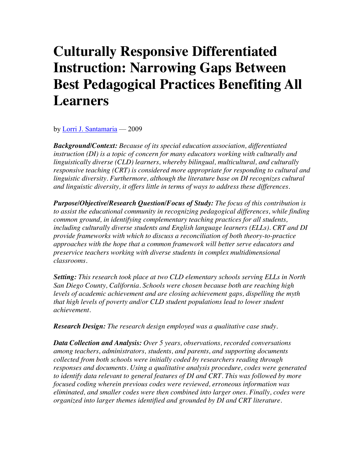# **Culturally Responsive Differentiated Instruction: Narrowing Gaps Between Best Pedagogical Practices Benefiting All Learners**

by [Lorri J. Santamaria](http://www.tcrecord.org/AuthorDisplay.asp?aid=20738) — 2009

*Background/Context: Because of its special education association, differentiated instruction (DI) is a topic of concern for many educators working with culturally and linguistically diverse (CLD) learners, whereby bilingual, multicultural, and culturally responsive teaching (CRT) is considered more appropriate for responding to cultural and linguistic diversity. Furthermore, although the literature base on DI recognizes cultural and linguistic diversity, it offers little in terms of ways to address these differences.* 

*Purpose/Objective/Research Question/Focus of Study: The focus of this contribution is to assist the educational community in recognizing pedagogical differences, while finding common ground, in identifying complementary teaching practices for all students, including culturally diverse students and English language learners (ELLs). CRT and DI provide frameworks with which to discuss a reconciliation of both theory-to-practice approaches with the hope that a common framework will better serve educators and preservice teachers working with diverse students in complex multidimensional classrooms.* 

*Setting: This research took place at two CLD elementary schools serving ELLs in North San Diego County, California. Schools were chosen because both are reaching high levels of academic achievement and are closing achievement gaps, dispelling the myth that high levels of poverty and/or CLD student populations lead to lower student achievement.* 

*Research Design: The research design employed was a qualitative case study.* 

*Data Collection and Analysis: Over 5 years, observations, recorded conversations among teachers, administrators, students, and parents, and supporting documents collected from both schools were initially coded by researchers reading through responses and documents. Using a qualitative analysis procedure, codes were generated to identify data relevant to general features of DI and CRT. This was followed by more focused coding wherein previous codes were reviewed, erroneous information was eliminated, and smaller codes were then combined into larger ones. Finally, codes were organized into larger themes identified and grounded by DI and CRT literature.*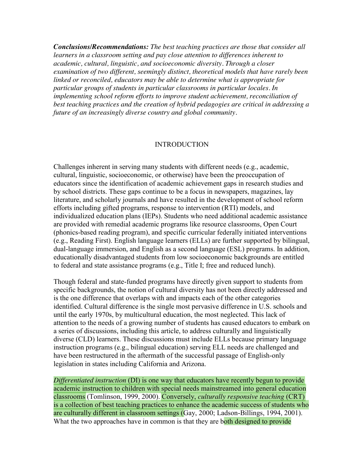*Conclusions/Recommendations: The best teaching practices are those that consider all learners in a classroom setting and pay close attention to differences inherent to academic, cultural, linguistic, and socioeconomic diversity. Through a closer examination of two different, seemingly distinct, theoretical models that have rarely been linked or reconciled, educators may be able to determine what is appropriate for particular groups of students in particular classrooms in particular locales. In implementing school reform efforts to improve student achievement, reconciliation of best teaching practices and the creation of hybrid pedagogies are critical in addressing a future of an increasingly diverse country and global community.* 

#### INTRODUCTION

Challenges inherent in serving many students with different needs (e.g., academic, cultural, linguistic, socioeconomic, or otherwise) have been the preoccupation of educators since the identification of academic achievement gaps in research studies and by school districts. These gaps continue to be a focus in newspapers, magazines, lay literature, and scholarly journals and have resulted in the development of school reform efforts including gifted programs, response to intervention (RTI) models, and individualized education plans (IEPs). Students who need additional academic assistance are provided with remedial academic programs like resource classrooms, Open Court (phonics-based reading program), and specific curricular federally initiated interventions (e.g., Reading First). English language learners (ELLs) are further supported by bilingual, dual-language immersion, and English as a second language (ESL) programs. In addition, educationally disadvantaged students from low socioeconomic backgrounds are entitled to federal and state assistance programs (e.g., Title I; free and reduced lunch).

Though federal and state-funded programs have directly given support to students from specific backgrounds, the notion of cultural diversity has not been directly addressed and is the one difference that overlaps with and impacts each of the other categories identified. Cultural difference is the single most pervasive difference in U.S. schools and until the early 1970s, by multicultural education, the most neglected. This lack of attention to the needs of a growing number of students has caused educators to embark on a series of discussions, including this article, to address culturally and linguistically diverse (CLD) learners. These discussions must include ELLs because primary language instruction programs (e.g., bilingual education) serving ELL needs are challenged and have been restructured in the aftermath of the successful passage of English-only legislation in states including California and Arizona.

*Differentiated instruction* (DI) is one way that educators have recently begun to provide academic instruction to children with special needs mainstreamed into general education classrooms (Tomlinson, 1999, 2000). Conversely, *culturally responsive teaching* (CRT) is a collection of best teaching practices to enhance the academic success of students who are culturally different in classroom settings (Gay, 2000; Ladson-Billings, 1994, 2001). What the two approaches have in common is that they are both designed to provide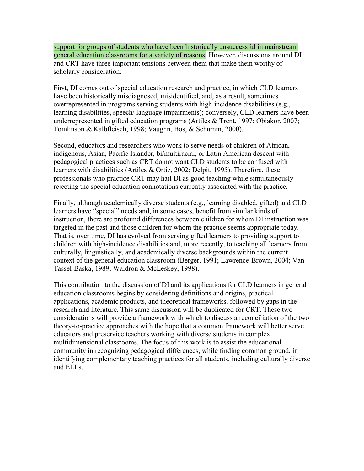support for groups of students who have been historically unsuccessful in mainstream general education classrooms for a variety of reasons. However, discussions around DI and CRT have three important tensions between them that make them worthy of scholarly consideration.

First, DI comes out of special education research and practice, in which CLD learners have been historically misdiagnosed, misidentified, and, as a result, sometimes overrepresented in programs serving students with high-incidence disabilities (e.g., learning disabilities, speech/ language impairments); conversely, CLD learners have been underrepresented in gifted education programs (Artiles & Trent, 1997; Obiakor, 2007; Tomlinson & Kalbfleisch, 1998; Vaughn, Bos, & Schumm, 2000).

Second, educators and researchers who work to serve needs of children of African, indigenous, Asian, Pacific Islander, bi/multiracial, or Latin American descent with pedagogical practices such as CRT do not want CLD students to be confused with learners with disabilities (Artiles & Ortiz, 2002; Delpit, 1995). Therefore, these professionals who practice CRT may hail DI as good teaching while simultaneously rejecting the special education connotations currently associated with the practice.

Finally, although academically diverse students (e.g., learning disabled, gifted) and CLD learners have "special" needs and, in some cases, benefit from similar kinds of instruction, there are profound differences between children for whom DI instruction was targeted in the past and those children for whom the practice seems appropriate today. That is, over time, DI has evolved from serving gifted learners to providing support to children with high-incidence disabilities and, more recently, to teaching all learners from culturally, linguistically, and academically diverse backgrounds within the current context of the general education classroom (Berger, 1991; Lawrence-Brown, 2004; Van Tassel-Baska, 1989; Waldron & McLeskey, 1998).

This contribution to the discussion of DI and its applications for CLD learners in general education classrooms begins by considering definitions and origins, practical applications, academic products, and theoretical frameworks, followed by gaps in the research and literature. This same discussion will be duplicated for CRT. These two considerations will provide a framework with which to discuss a reconciliation of the two theory-to-practice approaches with the hope that a common framework will better serve educators and preservice teachers working with diverse students in complex multidimensional classrooms. The focus of this work is to assist the educational community in recognizing pedagogical differences, while finding common ground, in identifying complementary teaching practices for all students, including culturally diverse and ELLs.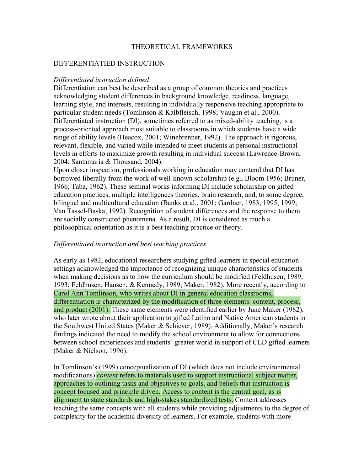#### THEORETICAL FRAMEWORKS

#### DIFFERENTIATIED INSTRUCTION

#### *Differentiated instruction defined*

Differentiation can best be described as a group of common theories and practices acknowledging student differences in background knowledge, readiness, language, learning style, and interests, resulting in individually responsive teaching appropriate to particular student needs (Tomlinson & Kalbfleisch, 1998; Vaughn et al., 2000). Differentiated instruction (DI), sometimes referred to as mixed-ability teaching, is a process-oriented approach most suitable to classrooms in which students have a wide range of ability levels (Heacox, 2001; Winebrenner, 1992). The approach is rigorous, relevant, flexible, and varied while intended to meet students at personal instructional levels in efforts to maximize growth resulting in individual success (Lawrence-Brown, 2004; Santamaría & Thousand, 2004).

Upon closer inspection, professionals working in education may contend that DI has borrowed liberally from the work of well-known scholarship (e.g., Bloom 1956; Bruner, 1966; Taba, 1962). These seminal works informing DI include scholarship on gifted education practices, multiple intelligences theories, brain research, and, to some degree, bilingual and multicultural education (Banks et al., 2001; Gardner, 1983, 1995, 1999; Van Tassel-Baska, 1992). Recognition of student differences and the response to them are socially constructed phenomena. As a result, DI is considered as much a philosophical orientation as it is a best teaching practice or theory.

# *Differentiated instruction and best teaching practices*

As early as 1982, educational researchers studying gifted learners in special education settings acknowledged the importance of recognizing unique characteristics of students when making decisions as to how the curriculum should be modified (Feldhusen, 1989, 1993; Feldhusen, Hansen, & Kennedy, 1989; Maker, 1982). More recently, according to Carol Ann Tomlinson, who writes about DI in general education classrooms, differentiation is characterized by the modification of three elements: content, process, and product (2001). These same elements were identified earlier by June Maker (1982), who later wrote about their application to gifted Latino and Native American students in the Southwest United States (Maker & Schiever, 1989). Additionally, Maker's research findings indicated the need to modify the school environment to allow for connections between school experiences and students' greater world in support of CLD gifted learners (Maker & Nielson, 1996).

In Tomlinson's (1999) conceptualization of DI (which does not include environmental modifications) *content* refers to materials used to support instructional subject matter, approaches to outlining tasks and objectives to goals, and beliefs that instruction is concept focused and principle driven. Access to content is the central goal, as is alignment to state standards and high-stakes standardized tests. Content addresses teaching the same concepts with all students while providing adjustments to the degree of complexity for the academic diversity of learners. For example, students with more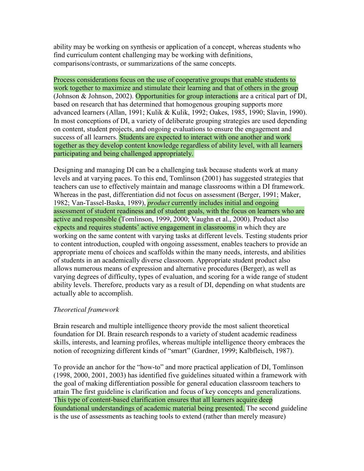ability may be working on synthesis or application of a concept, whereas students who find curriculum content challenging may be working with definitions, comparisons/contrasts, or summarizations of the same concepts.

Process considerations focus on the use of cooperative groups that enable students to work together to maximize and stimulate their learning and that of others in the group (Johnson & Johnson, 2002). Opportunities for group interactions are a critical part of DI, based on research that has determined that homogenous grouping supports more advanced learners (Allan, 1991; Kulik & Kulik, 1992; Oakes, 1985, 1990; Slavin, 1990). In most conceptions of DI, a variety of deliberate grouping strategies are used depending on content, student projects, and ongoing evaluations to ensure the engagement and success of all learners. Students are expected to interact with one another and work together as they develop content knowledge regardless of ability level, with all learners participating and being challenged appropriately.

Designing and managing DI can be a challenging task because students work at many levels and at varying paces. To this end, Tomlinson (2001) has suggested strategies that teachers can use to effectively maintain and manage classrooms within a DI framework. Whereas in the past, differentiation did not focus on assessment (Berger, 1991; Maker, 1982; Van-Tassel-Baska, 1989), *product* currently includes initial and ongoing assessment of student readiness and of student goals, with the focus on learners who are active and responsible (Tomlinson, 1999, 2000; Vaughn et al., 2000). Product also expects and requires students' active engagement in classrooms in which they are working on the same content with varying tasks at different levels. Testing students prior to content introduction, coupled with ongoing assessment, enables teachers to provide an appropriate menu of choices and scaffolds within the many needs, interests, and abilities of students in an academically diverse classroom. Appropriate student product also allows numerous means of expression and alternative procedures (Berger), as well as varying degrees of difficulty, types of evaluation, and scoring for a wide range of student ability levels. Therefore, products vary as a result of DI, depending on what students are actually able to accomplish.

# *Theoretical framework*

Brain research and multiple intelligence theory provide the most salient theoretical foundation for DI. Brain research responds to a variety of student academic readiness skills, interests, and learning profiles, whereas multiple intelligence theory embraces the notion of recognizing different kinds of "smart" (Gardner, 1999; Kalbfleisch, 1987).

To provide an anchor for the "how-to" and more practical application of DI, Tomlinson (1998, 2000, 2001, 2003) has identified five guidelines situated within a framework with the goal of making differentiation possible for general education classroom teachers to attain The first guideline is clarification and focus of key concepts and generalizations. This type of content-based clarification ensures that all learners acquire deep foundational understandings of academic material being presented. The second guideline is the use of assessments as teaching tools to extend (rather than merely measure)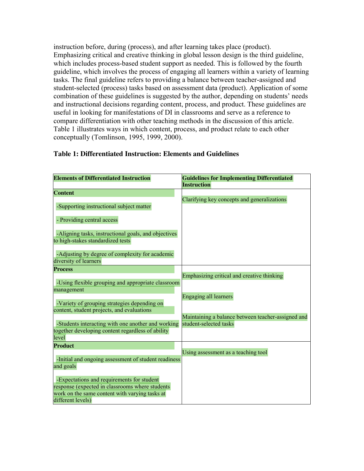instruction before, during (process), and after learning takes place (product). Emphasizing critical and creative thinking in global lesson design is the third guideline, which includes process-based student support as needed. This is followed by the fourth guideline, which involves the process of engaging all learners within a variety of learning tasks. The final guideline refers to providing a balance between teacher-assigned and student-selected (process) tasks based on assessment data (product). Application of some combination of these guidelines is suggested by the author, depending on students' needs and instructional decisions regarding content, process, and product. These guidelines are useful in looking for manifestations of DI in classrooms and serve as a reference to compare differentiation with other teaching methods in the discussion of this article. Table 1 illustrates ways in which content, process, and product relate to each other conceptually (Tomlinson, 1995, 1999, 2000).

| <b>Elements of Differentiated Instruction</b>                                                           | <b>Guidelines for Implementing Differentiated</b>                            |  |
|---------------------------------------------------------------------------------------------------------|------------------------------------------------------------------------------|--|
|                                                                                                         | <b>Instruction</b>                                                           |  |
| <b>Content</b>                                                                                          |                                                                              |  |
|                                                                                                         | Clarifying key concepts and generalizations                                  |  |
| -Supporting instructional subject matter                                                                |                                                                              |  |
|                                                                                                         |                                                                              |  |
| - Providing central access                                                                              |                                                                              |  |
| -Aligning tasks, instructional goals, and objectives                                                    |                                                                              |  |
| to high-stakes standardized tests                                                                       |                                                                              |  |
|                                                                                                         |                                                                              |  |
| -Adjusting by degree of complexity for academic                                                         |                                                                              |  |
| diversity of learners                                                                                   |                                                                              |  |
| <b>Process</b>                                                                                          |                                                                              |  |
|                                                                                                         | Emphasizing critical and creative thinking                                   |  |
| -Using flexible grouping and appropriate classroom                                                      |                                                                              |  |
| management                                                                                              |                                                                              |  |
|                                                                                                         | Engaging all learners                                                        |  |
| -Variety of grouping strategies depending on                                                            |                                                                              |  |
| content, student projects, and evaluations                                                              |                                                                              |  |
|                                                                                                         | Maintaining a balance between teacher-assigned and<br>student-selected tasks |  |
| -Students interacting with one another and working<br>together developing content regardless of ability |                                                                              |  |
| level                                                                                                   |                                                                              |  |
| <b>Product</b>                                                                                          |                                                                              |  |
|                                                                                                         | Using assessment as a teaching tool                                          |  |
| -Initial and ongoing assessment of student readiness                                                    |                                                                              |  |
| and goals                                                                                               |                                                                              |  |
|                                                                                                         |                                                                              |  |
| -Expectations and requirements for student                                                              |                                                                              |  |
| response (expected in classrooms where students                                                         |                                                                              |  |
| work on the same content with varying tasks at                                                          |                                                                              |  |
| different levels)                                                                                       |                                                                              |  |

# **Table 1: Differentiated Instruction: Elements and Guidelines**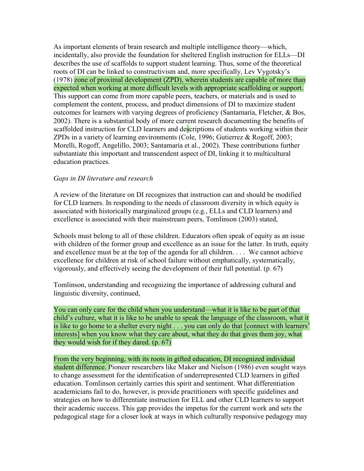As important elements of brain research and multiple intelligence theory—which, incidentally, also provide the foundation for sheltered English instruction for ELLs—DI describes the use of scaffolds to support student learning. Thus, some of the theoretical roots of DI can be linked to constructivism and, more specifically, Lev Vygotsky's (1978) zone of proximal development (ZPD), wherein students are capable of more than expected when working at more difficult levels with appropriate scaffolding or support. This support can come from more capable peers, teachers, or materials and is used to complement the content, process, and product dimensions of DI to maximize student outcomes for learners with varying degrees of proficiency (Santamaría, Fletcher, & Bos, 2002). There is a substantial body of more current research documenting the benefits of scaffolded instruction for CLD learners and descriptions of students working within their ZPDs in a variety of learning environments (Cole, 1996; Gutierrez & Rogoff, 2003; Morelli, Rogoff, Angelillo, 2003; Santamaría et al., 2002). These contributions further substantiate this important and transcendent aspect of DI, linking it to multicultural education practices.

# *Gaps in DI literature and research*

A review of the literature on DI recognizes that instruction can and should be modified for CLD learners. In responding to the needs of classroom diversity in which equity is associated with historically marginalized groups (e.g., ELLs and CLD learners) and excellence is associated with their mainstream peers, Tomlinson (2003) stated,

Schools must belong to all of these children. Educators often speak of equity as an issue with children of the former group and excellence as an issue for the latter. In truth, equity and excellence must be at the top of the agenda for all children. . . . We cannot achieve excellence for children at risk of school failure without emphatically, systematically, vigorously, and effectively seeing the development of their full potential. (p. 67)

Tomlinson, understanding and recognizing the importance of addressing cultural and linguistic diversity, continued,

You can only care for the child when you understand—what it is like to be part of that child's culture, what it is like to be unable to speak the language of the classroom, what it is like to go home to a shelter every night . . . you can only do that [connect with learners' interests] when you know what they care about, what they do that gives them joy, what they would wish for if they dared. (p. 67)

From the very beginning, with its roots in gifted education, DI recognized individual student difference. Pioneer researchers like Maker and Nielson (1986) even sought ways to change assessment for the identification of underrepresented CLD learners in gifted education. Tomlinson certainly carries this spirit and sentiment. What differentiation academicians fail to do, however, is provide practitioners with specific guidelines and strategies on how to differentiate instruction for ELL and other CLD learners to support their academic success. This gap provides the impetus for the current work and sets the pedagogical stage for a closer look at ways in which culturally responsive pedagogy may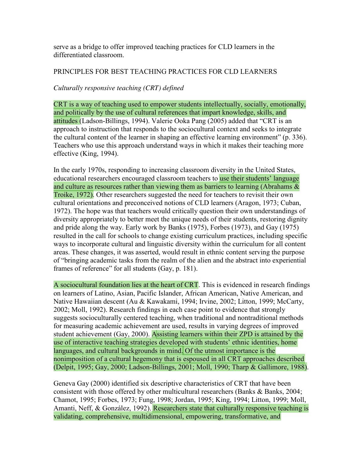serve as a bridge to offer improved teaching practices for CLD learners in the differentiated classroom.

# PRINCIPLES FOR BEST TEACHING PRACTICES FOR CLD LEARNERS

# *Culturally responsive teaching (CRT) defined*

CRT is a way of teaching used to empower students intellectually, socially, emotionally, and politically by the use of cultural references that impart knowledge, skills, and attitudes (Ladson-Billings, 1994). Valerie Ooka Pang (2005) added that "CRT is an approach to instruction that responds to the sociocultural context and seeks to integrate the cultural content of the learner in shaping an effective learning environment" (p. 336). Teachers who use this approach understand ways in which it makes their teaching more effective (King, 1994).

In the early 1970s, responding to increasing classroom diversity in the United States, educational researchers encouraged classroom teachers to use their students' language and culture as resources rather than viewing them as barriers to learning (Abrahams  $\&$ Troike, 1972). Other researchers suggested the need for teachers to revisit their own cultural orientations and preconceived notions of CLD learners (Aragon, 1973; Cuban, 1972). The hope was that teachers would critically question their own understandings of diversity appropriately to better meet the unique needs of their students, restoring dignity and pride along the way. Early work by Banks (1975), Forbes (1973), and Gay (1975) resulted in the call for schools to change existing curriculum practices, including specific ways to incorporate cultural and linguistic diversity within the curriculum for all content areas. These changes, it was asserted, would result in ethnic content serving the purpose of "bringing academic tasks from the realm of the alien and the abstract into experiential frames of reference" for all students (Gay, p. 181).

A sociocultural foundation lies at the heart of CRT. This is evidenced in research findings on learners of Latino, Asian, Pacific Islander, African American, Native American, and Native Hawaiian descent (Au & Kawakami, 1994; Irvine, 2002; Litton, 1999; McCarty, 2002; Moll, 1992). Research findings in each case point to evidence that strongly suggests socioculturally centered teaching, when traditional and nontraditional methods for measuring academic achievement are used, results in varying degrees of improved student achievement (Gay, 2000). Assisting learners within their ZPD is attained by the use of interactive teaching strategies developed with students' ethnic identities, home languages, and cultural backgrounds in mind. Of the utmost importance is the nonimposition of a cultural hegemony that is espoused in all CRT approaches described (Delpit, 1995; Gay, 2000; Ladson-Billings, 2001; Moll, 1990; Tharp & Gallimore, 1988).

Geneva Gay (2000) identified six descriptive characteristics of CRT that have been consistent with those offered by other multicultural researchers (Banks & Banks, 2004; Chamot, 1995; Forbes, 1973; Fung, 1998; Jordan, 1995; King, 1994; Litton, 1999; Moll, Amanti, Neff, & González, 1992). Researchers state that culturally responsive teaching is validating, comprehensive, multidimensional, empowering, transformative, and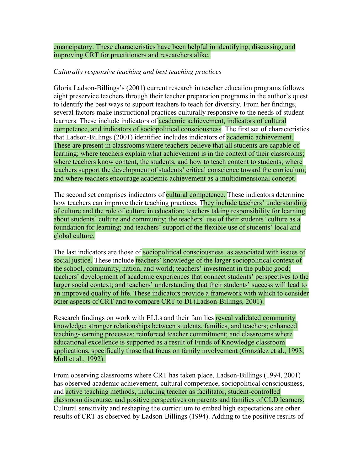emancipatory. These characteristics have been helpful in identifying, discussing, and improving CRT for practitioners and researchers alike.

# *Culturally responsive teaching and best teaching practices*

Gloria Ladson-Billings's (2001) current research in teacher education programs follows eight preservice teachers through their teacher preparation programs in the author's quest to identify the best ways to support teachers to teach for diversity. From her findings, several factors make instructional practices culturally responsive to the needs of student learners. These include indicators of **academic achievement**, indicators of cultural competence, and indicators of sociopolitical consciousness. The first set of characteristics that Ladson-Billings (2001) identified includes indicators of academic achievement. These are present in classrooms where teachers believe that all students are capable of learning; where teachers explain what achievement is in the context of their classrooms; where teachers know content, the students, and how to teach content to students; where teachers support the development of students' critical conscience toward the curriculum; and where teachers encourage academic achievement as a multidimensional concept.

The second set comprises indicators of **cultural competence**. These indicators determine how teachers can improve their teaching practices. They include teachers' understanding of culture and the role of culture in education; teachers taking responsibility for learning about students' culture and community; the teachers' use of their students' culture as a foundation for learning; and teachers' support of the flexible use of students' local and global culture.

The last indicators are those of sociopolitical consciousness, as associated with issues of social justice. These include teachers' knowledge of the larger sociopolitical context of the school, community, nation, and world; teachers' investment in the public good; teachers' development of academic experiences that connect students' perspectives to the larger social context; and teachers' understanding that their students' success will lead to an improved quality of life. These indicators provide a framework with which to consider other aspects of CRT and to compare CRT to DI (Ladson-Billings, 2001).

Research findings on work with ELLs and their families reveal validated community knowledge; stronger relationships between students, families, and teachers; enhanced teaching-learning processes; reinforced teacher commitment; and classrooms where educational excellence is supported as a result of Funds of Knowledge classroom applications, specifically those that focus on family involvement (González et al., 1993; Moll et al., 1992).

From observing classrooms where CRT has taken place, Ladson-Billings (1994, 2001) has observed academic achievement, cultural competence, sociopolitical consciousness, and active teaching methods, including teacher as facilitator, student-controlled classroom discourse, and positive perspectives on parents and families of CLD learners. Cultural sensitivity and reshaping the curriculum to embed high expectations are other results of CRT as observed by Ladson-Billings (1994). Adding to the positive results of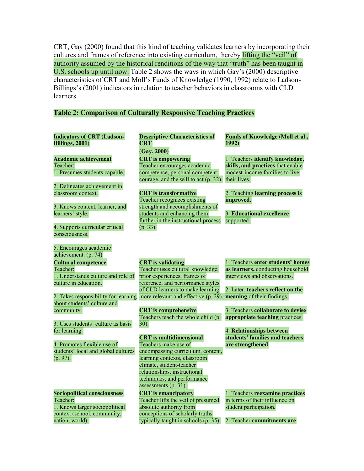CRT, Gay (2000) found that this kind of teaching validates learners by incorporating their cultures and frames of reference into existing curriculum, thereby lifting the "veil" of authority assumed by the historical renditions of the way that "truth" has been taught in U.S. schools up until now. Table 2 shows the ways in which Gay's (2000) descriptive characteristics of CRT and Moll's Funds of Knowledge (1990, 1992) relate to Ladson-Billings's (2001) indicators in relation to teacher behaviors in classrooms with CLD learners.

# **Table 2: Comparison of Culturally Responsive Teaching Practices**

| <b>Indicators of CRT (Ladson-</b><br><b>Billings</b> , 2001) | <b>Descriptive Characteristics of</b><br><b>CRT</b>                                                  | Funds of Knowledge (Moll et al.,<br>1992)                   |
|--------------------------------------------------------------|------------------------------------------------------------------------------------------------------|-------------------------------------------------------------|
|                                                              | (Gay, 2000)                                                                                          |                                                             |
| <b>Academic achievement</b>                                  |                                                                                                      | 1. Teachers identify knowledge,                             |
| Teacher:                                                     | <b>CRT</b> is empowering<br>Teacher encourages academic                                              | skills, and practices that enable                           |
| 1. Presumes students capable.                                | competence, personal competent,                                                                      | modest-income families to live                              |
|                                                              | courage, and the will to act $(p. 32)$ .                                                             | their lives.                                                |
| 2. Delineates achievement in                                 |                                                                                                      |                                                             |
| classroom context.                                           | <b>CRT</b> is transformative                                                                         | 2. Teaching learning process is                             |
|                                                              | Teacher recognizes existing                                                                          | improved.                                                   |
| 3. Knows content, learner, and                               | strength and accomplishments of                                                                      |                                                             |
| learners' style.                                             | students and enhancing them                                                                          | 3. Educational excellence                                   |
|                                                              | further in the instructional process                                                                 | supported.                                                  |
| 4. Supports curricular critical                              | (p. 33).                                                                                             |                                                             |
| consciousness.                                               |                                                                                                      |                                                             |
|                                                              |                                                                                                      |                                                             |
| 5. Encourages academic                                       |                                                                                                      |                                                             |
| achievement. (p. 74)                                         |                                                                                                      |                                                             |
| <b>Cultural competence</b>                                   | <b>CRT</b> is validating                                                                             | 1. Teachers enter students' homes                           |
| Teacher:                                                     | Teacher uses cultural knowledge,                                                                     | as learners, conducting household                           |
| 1. Understands culture and role of                           | prior experiences, frames of                                                                         | interviews and observations.                                |
| culture in education.                                        | reference, and performance styles                                                                    |                                                             |
|                                                              | of CLD learners to make learning                                                                     | 2. Later, teachers reflect on the                           |
|                                                              | 2. Takes responsibility for learning more relevant and effective (p. 29). meaning of their findings. |                                                             |
| about students' culture and                                  |                                                                                                      |                                                             |
| community.                                                   | <b>CRT</b> is comprehensive                                                                          | 3. Teachers collaborate to devise                           |
|                                                              | Teachers teach the whole child (p.                                                                   | appropriate teaching practices.                             |
| 3. Uses students' culture as basis                           | 30).                                                                                                 |                                                             |
| for learning.                                                | <b>CRT</b> is multidimensional                                                                       | 4. Relationships between<br>students' families and teachers |
| 4. Promotes flexible use of                                  | Teachers make use of                                                                                 |                                                             |
| students' local and global cultures                          | encompassing curriculum, content,                                                                    | are strengthened                                            |
| (p. 97).                                                     | learning contexts, classroom                                                                         |                                                             |
|                                                              | climate, student-teacher                                                                             |                                                             |
|                                                              | relationships, instructional                                                                         |                                                             |
|                                                              | techniques, and performance                                                                          |                                                             |
|                                                              | assessments (p. 31).                                                                                 |                                                             |
| <b>Sociopolitical consciousness</b>                          | <b>CRT</b> is emancipatory                                                                           | 1. Teachers reexamine practices                             |
| Teacher:                                                     | Teacher lifts the veil of presumed                                                                   | in terms of their influence on                              |
| 1. Knows larger sociopolitical                               | absolute authority from                                                                              | student participation.                                      |
| context (school, community,                                  | conceptions of scholarly truths                                                                      |                                                             |
| nation, world).                                              | typically taught in schools (p. 35).                                                                 | 2. Teacher commitments are                                  |
|                                                              |                                                                                                      |                                                             |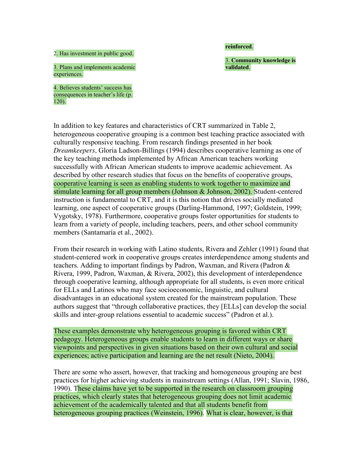2. Has investment in public good.

3. Plans and implements academic experiences.

4. Believes students' success has consequences in teacher's life (p.  $120$ ).

# In addition to key features and characteristics of CRT summarized in Table 2, heterogeneous cooperative grouping is a common best teaching practice associated with culturally responsive teaching. From research findings presented in her book *Dreamkeepers,* Gloria Ladson-Billings (1994) describes cooperative learning as one of the key teaching methods implemented by African American teachers working successfully with African American students to improve academic achievement. As described by other research studies that focus on the benefits of cooperative groups, cooperative learning is seen as enabling students to work together to maximize and stimulate learning for all group members (Johnson & Johnson, 2002). Student-centered instruction is fundamental to CRT, and it is this notion that drives socially mediated learning, one aspect of cooperative groups (Darling-Hammond, 1997; Goldstein, 1999; Vygotsky, 1978). Furthermore, cooperative groups foster opportunities for students to learn from a variety of people, including teachers, peers, and other school community members (Santamaría et al., 2002).

From their research in working with Latino students, Rivera and Zehler (1991) found that student-centered work in cooperative groups creates interdependence among students and teachers. Adding to important findings by Padron, Waxman, and Rivera (Padron & Rivera, 1999, Padron, Waxman, & Rivera, 2002), this development of interdependence through cooperative learning, although appropriate for all students, is even more critical for ELLs and Latinos who may face socioeconomic, linguistic, and cultural disadvantages in an educational system created for the mainstream population. These authors suggest that "through collaborative practices, they [ELLs] can develop the social skills and inter-group relations essential to academic success" (Padron et al.).

These examples demonstrate why heterogeneous grouping is favored within CRT pedagogy. Heterogeneous groups enable students to learn in different ways or share viewpoints and perspectives in given situations based on their own cultural and social experiences; active participation and learning are the net result (Nieto, 2004).

There are some who assert, however, that tracking and homogeneous grouping are best practices for higher achieving students in mainstream settings (Allan, 1991; Slavin, 1986, 1990). These claims have yet to be supported in the research on classroom grouping practices, which clearly states that heterogeneous grouping does not limit academic achievement of the academically talented and that all students benefit from heterogeneous grouping practices (Weinstein, 1996). What is clear, however, is that

#### **reinforced**.

3. **Community knowledge is validated**.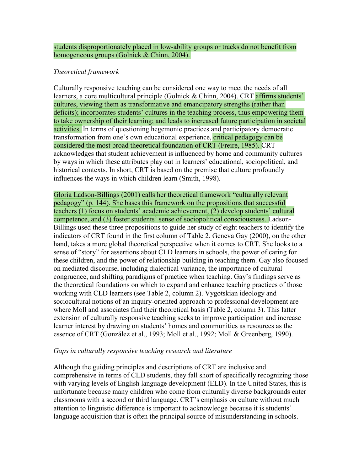students disproportionately placed in low-ability groups or tracks do not benefit from homogeneous groups (Golnick & Chinn, 2004).

# *Theoretical framework*

Culturally responsive teaching can be considered one way to meet the needs of all learners, a core multicultural principle (Golnick & Chinn, 2004). CRT affirms students' cultures, viewing them as transformative and emancipatory strengths (rather than deficits); incorporates students' cultures in the teaching process, thus empowering them to take ownership of their learning; and leads to increased future participation in societal activities. In terms of questioning hegemonic practices and participatory democratic transformation from one's own educational experience, critical pedagogy can be considered the most broad theoretical foundation of CRT (Freire, 1985). CRT acknowledges that student achievement is influenced by home and community cultures by ways in which these attributes play out in learners' educational, sociopolitical, and historical contexts. In short, CRT is based on the premise that culture profoundly influences the ways in which children learn (Smith, 1998).

Gloria Ladson-Billings (2001) calls her theoretical framework "culturally relevant pedagogy" (p. 144). She bases this framework on the propositions that successful teachers (1) focus on students' academic achievement, (2) develop students' cultural competence, and (3) foster students' sense of sociopolitical consciousness. Ladson-Billings used these three propositions to guide her study of eight teachers to identify the indicators of CRT found in the first column of Table 2. Geneva Gay (2000), on the other hand, takes a more global theoretical perspective when it comes to CRT. She looks to a sense of "story" for assertions about CLD learners in schools, the power of caring for these children, and the power of relationship building in teaching them. Gay also focused on mediated discourse, including dialectical variance, the importance of cultural congruence, and shifting paradigms of practice when teaching. Gay's findings serve as the theoretical foundations on which to expand and enhance teaching practices of those working with CLD learners (see Table 2, column 2). Vygotskian ideology and sociocultural notions of an inquiry-oriented approach to professional development are where Moll and associates find their theoretical basis (Table 2, column 3). This latter extension of culturally responsive teaching seeks to improve participation and increase learner interest by drawing on students' homes and communities as resources as the essence of CRT (González et al., 1993; Moll et al., 1992; Moll & Greenberg, 1990).

# *Gaps in culturally responsive teaching research and literature*

Although the guiding principles and descriptions of CRT are inclusive and comprehensive in terms of CLD students, they fall short of specifically recognizing those with varying levels of English language development (ELD). In the United States, this is unfortunate because many children who come from culturally diverse backgrounds enter classrooms with a second or third language. CRT's emphasis on culture without much attention to linguistic difference is important to acknowledge because it is students' language acquisition that is often the principal source of misunderstanding in schools.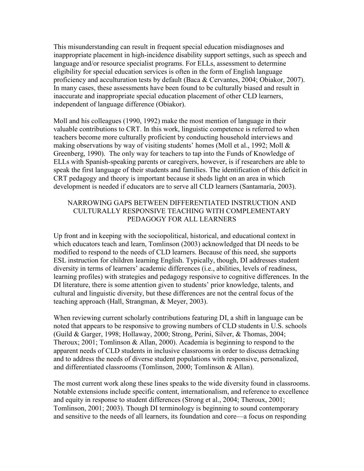This misunderstanding can result in frequent special education misdiagnoses and inappropriate placement in high-incidence disability support settings, such as speech and language and/or resource specialist programs. For ELLs, assessment to determine eligibility for special education services is often in the form of English language proficiency and acculturation tests by default (Baca & Cervantes, 2004; Obiakor, 2007). In many cases, these assessments have been found to be culturally biased and result in inaccurate and inappropriate special education placement of other CLD learners, independent of language difference (Obiakor).

Moll and his colleagues (1990, 1992) make the most mention of language in their valuable contributions to CRT. In this work, linguistic competence is referred to when teachers become more culturally proficient by conducting household interviews and making observations by way of visiting students' homes (Moll et al., 1992; Moll & Greenberg, 1990). The only way for teachers to tap into the Funds of Knowledge of ELLs with Spanish-speaking parents or caregivers, however, is if researchers are able to speak the first language of their students and families. The identification of this deficit in CRT pedagogy and theory is important because it sheds light on an area in which development is needed if educators are to serve all CLD learners (Santamaría, 2003).

# NARROWING GAPS BETWEEN DIFFERENTIATED INSTRUCTION AND CULTURALLY RESPONSIVE TEACHING WITH COMPLEMENTARY PEDAGOGY FOR ALL LEARNERS

Up front and in keeping with the sociopolitical, historical, and educational context in which educators teach and learn, Tomlinson (2003) acknowledged that DI needs to be modified to respond to the needs of CLD learners. Because of this need, she supports ESL instruction for children learning English. Typically, though, DI addresses student diversity in terms of learners' academic differences (i.e., abilities, levels of readiness, learning profiles) with strategies and pedagogy responsive to cognitive differences. In the DI literature, there is some attention given to students' prior knowledge, talents, and cultural and linguistic diversity, but these differences are not the central focus of the teaching approach (Hall, Strangman, & Meyer, 2003).

When reviewing current scholarly contributions featuring DI, a shift in language can be noted that appears to be responsive to growing numbers of CLD students in U.S. schools (Guild & Garger, 1998; Hollaway, 2000; Strong, Perini, Silver, & Thomas, 2004; Theroux; 2001; Tomlinson & Allan, 2000). Academia is beginning to respond to the apparent needs of CLD students in inclusive classrooms in order to discuss detracking and to address the needs of diverse student populations with responsive, personalized, and differentiated classrooms (Tomlinson, 2000; Tomlinson & Allan).

The most current work along these lines speaks to the wide diversity found in classrooms. Notable extensions include specific content, internationalism, and reference to excellence and equity in response to student differences (Strong et al., 2004; Theroux, 2001; Tomlinson, 2001; 2003). Though DI terminology is beginning to sound contemporary and sensitive to the needs of all learners, its foundation and core—a focus on responding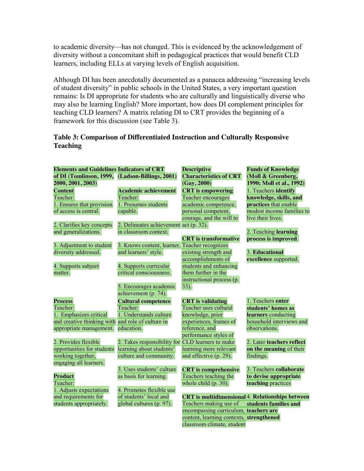to academic diversity—has not changed. This is evidenced by the acknowledgement of diversity without a concomitant shift in pedagogical practices that would benefit CLD learners, including ELLs at varying levels of English acquisition.

Although DI has been anecdotally documented as a panacea addressing "increasing levels" of student diversity" in public schools in the United States, a very important question remains: Is DI appropriate for students who are culturally and linguistically diverse who may also be learning English? More important, how does DI complement principles for teaching CLD learners? A matrix relating DI to CRT provides the beginning of a framework for this discussion (see Table 3).

# **Table 3: Comparison of Differentiated Instruction and Culturally Responsive Teaching**

| <b>Elements and Guidelines Indicators of CRT</b>  |                                                  | <b>Descriptive</b>                       | <b>Funds of Knowledge</b>                               |
|---------------------------------------------------|--------------------------------------------------|------------------------------------------|---------------------------------------------------------|
| of DI (Tomlinson, 1999, (Ladson-Billings, 2001)   |                                                  | <b>Characteristics of CRT</b>            | (Moll & Greenberg,                                      |
| 2000, 2001, 2003)                                 |                                                  | (Gay, 2000)                              | 1990; Moll et al., 1992)                                |
| <b>Content</b>                                    | <b>Academic achievement</b>                      | <b>CRT</b> is empowering                 | 1. Teachers identify                                    |
| Teacher:                                          | Teacher:                                         | <b>Teacher encourages</b>                | knowledge, skills, and                                  |
| 1. Ensures that provision                         | 1. Presumes students                             | academic competence,                     | practices that enable                                   |
| of access is central.                             | capable.                                         | personal competent,                      | modest income families to                               |
|                                                   |                                                  | courage, and the will to                 | live their lives.                                       |
| 2. Clarifies key concepts                         | 2. Delineates achievement act (p. 32).           |                                          |                                                         |
| and generalizations.                              | in classroom context.                            |                                          | 2. Teaching learning                                    |
|                                                   |                                                  | <b>CRT</b> is transformative             | process is improved.                                    |
| 3. Adjustment to student                          | 3. Knows content, learner, Teacher recognizes    |                                          |                                                         |
| diversity addressed.                              | and learners' style.                             | existing strength and                    | 3. Educational                                          |
|                                                   |                                                  | accomplishments of                       | excellence supported.                                   |
| 4. Supports subject                               | 4. Supports curricular                           | students and enhancing                   |                                                         |
| matter.                                           | critical consciousness.                          | them further in the                      |                                                         |
|                                                   |                                                  | instructional process (p.                |                                                         |
|                                                   | 5. Encourages academic                           | 33).                                     |                                                         |
|                                                   | achievement (p. 74).                             |                                          |                                                         |
| <b>Process</b>                                    | <b>Cultural competence</b>                       | <b>CRT</b> is validating                 | 1. Teachers enter                                       |
| Teacher:                                          | Teacher:                                         | Teacher uses cultural                    | students' homes as                                      |
| 1. Emphasizes critical                            | 1. Understands culture                           | knowledge, prior                         | learners conducting                                     |
| and creative thinking with and role of culture in |                                                  | experiences, frames of                   | household interviews and                                |
| appropriate management.                           | education.                                       | reference, and                           | observations.                                           |
|                                                   |                                                  | performance styles of                    |                                                         |
| 2. Provides flexible                              | 2. Takes responsibility for CLD learners to make |                                          | 2. Later teachers reflect                               |
| opportunities for students                        | learning about students'                         | learning more relevant                   | on the meaning of their                                 |
| working together,                                 | culture and community.                           | and effective (p. 29).                   | findings.                                               |
| engaging all learners.                            |                                                  |                                          |                                                         |
|                                                   | 3. Uses students' culture                        | <b>CRT</b> is comprehensive              | 3. Teachers collaborate                                 |
| <b>Product</b>                                    | as basis for learning.                           | Teachers teaching the                    | to devise appropriate                                   |
| Teacher:                                          |                                                  | whole child $(p. 30)$ .                  | teaching practices                                      |
| 1. Adjusts expectations                           | 4. Promotes flexible use                         |                                          |                                                         |
| and requirements for                              | of students' local and                           |                                          | <b>CRT</b> is multidimensional 4. Relationships between |
| students appropriately.                           | global cultures (p. 97).                         | Teachers making use of                   | students families and                                   |
|                                                   |                                                  | encompassing curriculum, teachers are    |                                                         |
|                                                   |                                                  | content, learning contexts, strengthened |                                                         |
|                                                   |                                                  | classroom climate, student               |                                                         |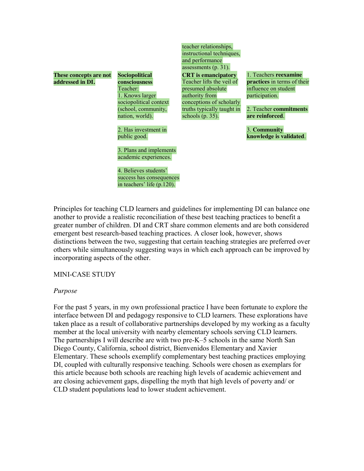**These concepts are not addressed in DI.**

**Sociopolitical consciousness** Teacher: 1. Knows larger sociopolitical context (school, community, nation, world).

2. Has investment in public good.

3. Plans and implements academic experiences.

4. Believes students' success has consequences in teachers' life (p.120).

teacher relationships, instructional techniques, and performance assessments (p. 31). **CRT is emancipatory**

truths typically taught in

presumed absolute authority from

schools  $(p. 35)$ .

Teacher lifts the veil of conceptions of scholarly 1. Teachers **reexamine practices** in terms of their influence on student participation.

> 2. Teacher **commitments are reinforced**.

3. **Community knowledge is validated**.

Principles for teaching CLD learners and guidelines for implementing DI can balance one another to provide a realistic reconciliation of these best teaching practices to benefit a greater number of children. DI and CRT share common elements and are both considered emergent best research-based teaching practices. A closer look, however, shows distinctions between the two, suggesting that certain teaching strategies are preferred over others while simultaneously suggesting ways in which each approach can be improved by incorporating aspects of the other.

MINI-CASE STUDY

# *Purpose*

For the past 5 years, in my own professional practice I have been fortunate to explore the interface between DI and pedagogy responsive to CLD learners. These explorations have taken place as a result of collaborative partnerships developed by my working as a faculty member at the local university with nearby elementary schools serving CLD learners. The partnerships I will describe are with two pre-K–5 schools in the same North San Diego County, California, school district, Bienvenidos Elementary and Xavier Elementary. These schools exemplify complementary best teaching practices employing DI, coupled with culturally responsive teaching. Schools were chosen as exemplars for this article because both schools are reaching high levels of academic achievement and are closing achievement gaps, dispelling the myth that high levels of poverty and/ or CLD student populations lead to lower student achievement.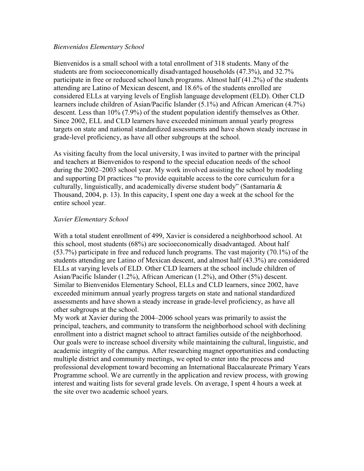#### *Bienvenidos Elementary School*

Bienvenidos is a small school with a total enrollment of 318 students. Many of the students are from socioeconomically disadvantaged households (47.3%), and 32.7% participate in free or reduced school lunch programs. Almost half (41.2%) of the students attending are Latino of Mexican descent, and 18.6% of the students enrolled are considered ELLs at varying levels of English language development (ELD). Other CLD learners include children of Asian/Pacific Islander (5.1%) and African American (4.7%) descent. Less than 10% (7.9%) of the student population identify themselves as Other. Since 2002, ELL and CLD learners have exceeded minimum annual yearly progress targets on state and national standardized assessments and have shown steady increase in grade-level proficiency, as have all other subgroups at the school.

As visiting faculty from the local university, I was invited to partner with the principal and teachers at Bienvenidos to respond to the special education needs of the school during the 2002–2003 school year. My work involved assisting the school by modeling and supporting DI practices "to provide equitable access to the core curriculum for a culturally, linguistically, and academically diverse student body" (Santamaría  $\&$ Thousand, 2004, p. 13). In this capacity, I spent one day a week at the school for the entire school year.

# *Xavier Elementary School*

With a total student enrollment of 499, Xavier is considered a neighborhood school. At this school, most students (68%) are socioeconomically disadvantaged. About half (53.7%) participate in free and reduced lunch programs. The vast majority (70.1%) of the students attending are Latino of Mexican descent, and almost half (43.3%) are considered ELLs at varying levels of ELD. Other CLD learners at the school include children of Asian/Pacific Islander (1.2%), African American (1.2%), and Other (5%) descent. Similar to Bienvenidos Elementary School, ELLs and CLD learners, since 2002, have exceeded minimum annual yearly progress targets on state and national standardized assessments and have shown a steady increase in grade-level proficiency, as have all other subgroups at the school.

My work at Xavier during the 2004–2006 school years was primarily to assist the principal, teachers, and community to transform the neighborhood school with declining enrollment into a district magnet school to attract families outside of the neighborhood. Our goals were to increase school diversity while maintaining the cultural, linguistic, and academic integrity of the campus. After researching magnet opportunities and conducting multiple district and community meetings, we opted to enter into the process and professional development toward becoming an International Baccalaureate Primary Years Programme school. We are currently in the application and review process, with growing interest and waiting lists for several grade levels. On average, I spent 4 hours a week at the site over two academic school years.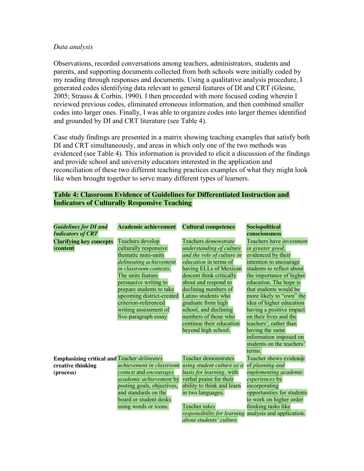#### *Data analysis*

Observations, recorded conversations among teachers, administrators, students and parents, and supporting documents collected from both schools were initially coded by my reading through responses and documents. Using a qualitative analysis procedure, I generated codes identifying data relevant to general features of DI and CRT (Glesne, 2005; Strauss & Corbin, 1990). I then proceeded with more focused coding wherein I reviewed previous codes, eliminated erroneous information, and then combined smaller codes into larger ones. Finally, I was able to organize codes into larger themes identified and grounded by DI and CRT literature (see Table 4).

Case study findings are presented in a matrix showing teaching examples that satisfy both DI and CRT simultaneously, and areas in which only one of the two methods was evidenced (see Table 4). This information is provided to elicit a discussion of the findings and provide school and university educators interested in the application and reconciliation of these two different teaching practices examples of what they might look like when brought together to serve many different types of learners.

# **Table 4: Classroom Evidence of Guidelines for Differentiated Instruction and Indicators of Culturally Responsive Teaching**

| <b>Guidelines for DI and</b>                       | <b>Academic achievement</b> | <b>Cultural competence</b>                            | Sociopolitical             |
|----------------------------------------------------|-----------------------------|-------------------------------------------------------|----------------------------|
| <b>Indicators of CRT</b>                           |                             |                                                       | consciousness              |
| <b>Clarifying key concepts</b>                     | Teachers develop            | Teachers <i>demonstrate</i>                           | Teachers have investment   |
| (content                                           | culturally responsive       | understanding of culture                              | in greater good,           |
|                                                    | thematic mini-units         | and the role of culture in                            | evidenced by their         |
|                                                    | delineating achievement     | <i>education</i> in terms of                          | intention to encourage     |
|                                                    | in classroom contexts.      | having ELLs of Mexican                                | students to reflect about  |
|                                                    | The units feature           | descent think critically                              | the importance of higher   |
|                                                    | persuasive writing to       | about and respond to                                  | education. The hope is     |
|                                                    | prepare students to take    | declining numbers of                                  | that students would be     |
|                                                    | upcoming district-created   | Latino students who                                   | more likely to "own" the   |
|                                                    | criterion-referenced        | graduate from high                                    | idea of higher education   |
|                                                    | writing assessment of       | school, and declining                                 | having a positive impact   |
|                                                    | five-paragraph essay        | numbers of those who                                  | on their lives and the     |
|                                                    |                             | continue their education                              | teachers', rather than     |
|                                                    |                             | beyond high school.                                   | having the same            |
|                                                    |                             |                                                       | information imposed on     |
|                                                    |                             |                                                       | students on the teachers'  |
|                                                    |                             |                                                       | terms.                     |
| <b>Emphasizing critical and Teacher delineates</b> |                             | <b>Teacher demonstrates</b>                           | Teacher shows evidence     |
| creative thinking                                  | achievement in classroom    | using student culture as a                            | of planning and            |
| (process)                                          | context and encourages      | basis for learning, with                              | implementing academic      |
|                                                    | academic achievement by     | verbal praise for their                               | <i>experiences</i> by      |
|                                                    | posting goals, objectives,  | ability to think and learn                            | incorporating              |
|                                                    | and standards on the        | in two languages.                                     | opportunities for students |
|                                                    | board or student desks      |                                                       | to work on higher order    |
|                                                    | using words or icons.       | Teacher takes                                         | thinking tasks like        |
|                                                    |                             | responsibility for learning analysis and application. |                            |
|                                                    |                             | about students' culture                               |                            |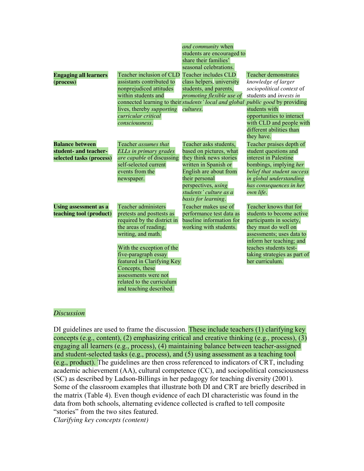|                              |                                  | and community when                                                                     |                              |
|------------------------------|----------------------------------|----------------------------------------------------------------------------------------|------------------------------|
|                              |                                  | students are encouraged to                                                             |                              |
|                              |                                  | share their families'                                                                  |                              |
|                              |                                  | seasonal celebrations.                                                                 |                              |
| <b>Engaging all learners</b> | Teacher inclusion of CLD         | Teacher includes CLD                                                                   | <b>Teacher demonstrates</b>  |
| (process)                    | assistants contributed to        | class helpers, university                                                              | knowledge of larger          |
|                              | nonprejudiced attitudes          | students, and parents,                                                                 | sociopolitical context of    |
|                              | within students and              | promoting flexible use of                                                              | students and invests in      |
|                              |                                  | connected learning to their <i>students' local and global public good</i> by providing |                              |
|                              | lives, thereby <i>supporting</i> | cultures.                                                                              | students with                |
|                              | curricular critical              |                                                                                        | opportunities to interact    |
|                              | consciousness.                   |                                                                                        | with CLD and people with     |
|                              |                                  |                                                                                        | different abilities than     |
|                              |                                  |                                                                                        | they have.                   |
| <b>Balance between</b>       | Teacher <i>assumes that</i>      | Teacher asks students,                                                                 | Teacher praises depth of     |
| student- and teacher-        | ELLs in primary grades           | based on pictures, what                                                                | student questions and        |
| selected tasks (process)     | <i>are capable</i> of discussing | they think news stories                                                                | interest in Palestine        |
|                              | self-selected current            | written in Spanish or                                                                  | bombings, implying her       |
|                              | events from the                  | English are about from                                                                 | belief that student success  |
|                              | newspaper.                       | their personal                                                                         | in global understanding      |
|                              |                                  | perspectives, using                                                                    | has consequences in her      |
|                              |                                  | students' culture as a                                                                 | own life.                    |
|                              |                                  | basis for learning.                                                                    |                              |
| <b>Using assessment as a</b> | <b>Teacher administers</b>       | Teacher makes use of                                                                   | Teacher knows that for       |
| teaching tool (product)      | pretests and posttests as        | performance test data as                                                               | students to become active    |
|                              | required by the district in      | baseline information for                                                               | participants in society,     |
|                              | the areas of reading,            | working with students.                                                                 | they must do well on         |
|                              | writing, and math.               |                                                                                        | assessments; uses data to    |
|                              |                                  |                                                                                        | inform her teaching; and     |
|                              | With the exception of the        |                                                                                        | teaches students test-       |
|                              | five-paragraph essay             |                                                                                        | taking strategies as part of |
|                              | featured in Clarifying Key       |                                                                                        | her curriculum.              |
|                              | Concepts, these                  |                                                                                        |                              |
|                              |                                  |                                                                                        |                              |
|                              | assessments were not             |                                                                                        |                              |
|                              | related to the curriculum        |                                                                                        |                              |

# *Discussion*

DI guidelines are used to frame the discussion. These include teachers (1) clarifying key concepts (e.g., content), (2) emphasizing critical and creative thinking (e.g., process), (3) engaging all learners (e.g., process), (4) maintaining balance between teacher-assigned and student-selected tasks (e.g., process), and (5) using assessment as a teaching tool (e.g., product). The guidelines are then cross referenced to indicators of CRT, including academic achievement (AA), cultural competence (CC), and sociopolitical consciousness (SC) as described by Ladson-Billings in her pedagogy for teaching diversity (2001). Some of the classroom examples that illustrate both DI and CRT are briefly described in the matrix (Table 4). Even though evidence of each DI characteristic was found in the data from both schools, alternating evidence collected is crafted to tell composite "stories" from the two sites featured.

*Clarifying key concepts (content)*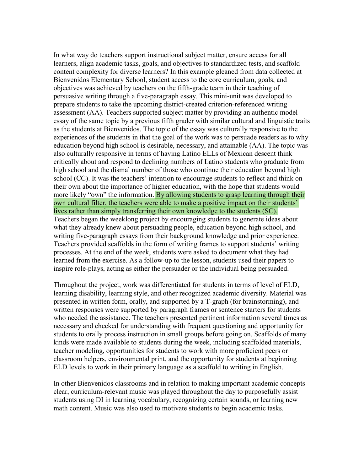In what way do teachers support instructional subject matter, ensure access for all learners, align academic tasks, goals, and objectives to standardized tests, and scaffold content complexity for diverse learners? In this example gleaned from data collected at Bienvenidos Elementary School, student access to the core curriculum, goals, and objectives was achieved by teachers on the fifth-grade team in their teaching of persuasive writing through a five-paragraph essay. This mini-unit was developed to prepare students to take the upcoming district-created criterion-referenced writing assessment (AA). Teachers supported subject matter by providing an authentic model essay of the same topic by a previous fifth grader with similar cultural and linguistic traits as the students at Bienvenidos. The topic of the essay was culturally responsive to the experiences of the students in that the goal of the work was to persuade readers as to why education beyond high school is desirable, necessary, and attainable (AA). The topic was also culturally responsive in terms of having Latino ELLs of Mexican descent think critically about and respond to declining numbers of Latino students who graduate from high school and the dismal number of those who continue their education beyond high school (CC). It was the teachers' intention to encourage students to reflect and think on their own about the importance of higher education, with the hope that students would more likely "own" the information. By allowing students to grasp learning through their own cultural filter, the teachers were able to make a positive impact on their students' lives rather than simply transferring their own knowledge to the students (SC). Teachers began the weeklong project by encouraging students to generate ideas about what they already knew about persuading people, education beyond high school, and writing five-paragraph essays from their background knowledge and prior experience. Teachers provided scaffolds in the form of writing frames to support students' writing processes. At the end of the week, students were asked to document what they had learned from the exercise. As a follow-up to the lesson, students used their papers to inspire role-plays, acting as either the persuader or the individual being persuaded.

Throughout the project, work was differentiated for students in terms of level of ELD, learning disability, learning style, and other recognized academic diversity. Material was presented in written form, orally, and supported by a T-graph (for brainstorming), and written responses were supported by paragraph frames or sentence starters for students who needed the assistance. The teachers presented pertinent information several times as necessary and checked for understanding with frequent questioning and opportunity for students to orally process instruction in small groups before going on. Scaffolds of many kinds were made available to students during the week, including scaffolded materials, teacher modeling, opportunities for students to work with more proficient peers or classroom helpers, environmental print, and the opportunity for students at beginning ELD levels to work in their primary language as a scaffold to writing in English.

In other Bienvenidos classrooms and in relation to making important academic concepts clear, curriculum-relevant music was played throughout the day to purposefully assist students using DI in learning vocabulary, recognizing certain sounds, or learning new math content. Music was also used to motivate students to begin academic tasks.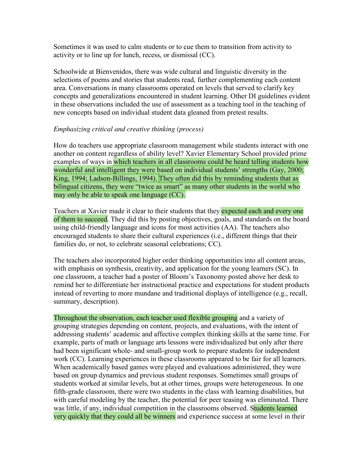Sometimes it was used to calm students or to cue them to transition from activity to activity or to line up for lunch, recess, or dismissal (CC).

Schoolwide at Bienvenidos, there was wide cultural and linguistic diversity in the selections of poems and stories that students read, further complementing each content area. Conversations in many classrooms operated on levels that served to clarify key concepts and generalizations encountered in student learning. Other DI guidelines evident in these observations included the use of assessment as a teaching tool in the teaching of new concepts based on individual student data gleaned from pretest results.

# *Emphasizing critical and creative thinking (process)*

How do teachers use appropriate classroom management while students interact with one another on content regardless of ability level? Xavier Elementary School provided prime examples of ways in which teachers in all classrooms could be heard telling students how wonderful and intelligent they were based on individual students' strengths (Gay, 2000; King, 1994; Ladson-Billings, 1994). They often did this by reminding students that as bilingual citizens, they were "twice as smart" as many other students in the world who may only be able to speak one language (CC).

Teachers at Xavier made it clear to their students that they expected each and every one of them to succeed. They did this by posting objectives, goals, and standards on the board using child-friendly language and icons for most activities (AA). The teachers also encouraged students to share their cultural experiences (i.e., different things that their families do, or not, to celebrate seasonal celebrations; CC).

The teachers also incorporated higher order thinking opportunities into all content areas, with emphasis on synthesis, creativity, and application for the young learners (SC). In one classroom, a teacher had a poster of Bloom's Taxonomy posted above her desk to remind her to differentiate her instructional practice and expectations for student products instead of reverting to more mundane and traditional displays of intelligence (e.g., recall, summary, description).

Throughout the observation, each teacher used flexible grouping and a variety of grouping strategies depending on content, projects, and evaluations, with the intent of addressing students' academic and affective complex thinking skills at the same time. For example, parts of math or language arts lessons were individualized but only after there had been significant whole- and small-group work to prepare students for independent work (CC). Learning experiences in these classrooms appeared to be fair for all learners. When academically based games were played and evaluations administered, they were based on group dynamics and previous student responses. Sometimes small groups of students worked at similar levels, but at other times, groups were heterogeneous. In one fifth-grade classroom, there were two students in the class with learning disabilities, but with careful modeling by the teacher, the potential for peer teasing was eliminated. There was little, if any, individual competition in the classrooms observed. Students learned very quickly that they could all be winners and experience success at some level in their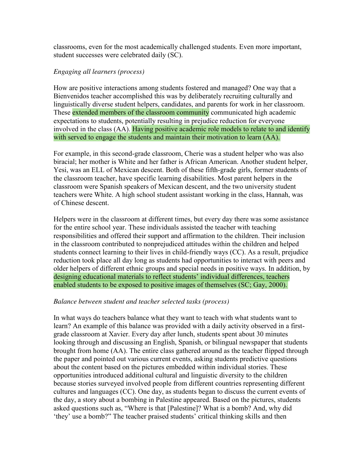classrooms, even for the most academically challenged students. Even more important, student successes were celebrated daily (SC).

# *Engaging all learners (process)*

How are positive interactions among students fostered and managed? One way that a Bienvenidos teacher accomplished this was by deliberately recruiting culturally and linguistically diverse student helpers, candidates, and parents for work in her classroom. These extended members of the classroom community communicated high academic expectations to students, potentially resulting in prejudice reduction for everyone involved in the class (AA). Having positive academic role models to relate to and identify with served to engage the students and maintain their motivation to learn (AA).

For example, in this second-grade classroom, Cherie was a student helper who was also biracial; her mother is White and her father is African American. Another student helper, Yesi, was an ELL of Mexican descent. Both of these fifth-grade girls, former students of the classroom teacher, have specific learning disabilities. Most parent helpers in the classroom were Spanish speakers of Mexican descent, and the two university student teachers were White. A high school student assistant working in the class, Hannah, was of Chinese descent.

Helpers were in the classroom at different times, but every day there was some assistance for the entire school year. These individuals assisted the teacher with teaching responsibilities and offered their support and affirmation to the children. Their inclusion in the classroom contributed to nonprejudiced attitudes within the children and helped students connect learning to their lives in child-friendly ways (CC). As a result, prejudice reduction took place all day long as students had opportunities to interact with peers and older helpers of different ethnic groups and special needs in positive ways. In addition, by designing educational materials to reflect students' individual differences, teachers enabled students to be exposed to positive images of themselves (SC; Gay, 2000).

# *Balance between student and teacher selected tasks (process)*

In what ways do teachers balance what they want to teach with what students want to learn? An example of this balance was provided with a daily activity observed in a firstgrade classroom at Xavier. Every day after lunch, students spent about 30 minutes looking through and discussing an English, Spanish, or bilingual newspaper that students brought from home (AA). The entire class gathered around as the teacher flipped through the paper and pointed out various current events, asking students predictive questions about the content based on the pictures embedded within individual stories. These opportunities introduced additional cultural and linguistic diversity to the children because stories surveyed involved people from different countries representing different cultures and languages (CC). One day, as students began to discuss the current events of the day, a story about a bombing in Palestine appeared. Based on the pictures, students asked questions such as, "Where is that [Palestine]? What is a bomb? And, why did 'they' use a bomb?" The teacher praised students' critical thinking skills and then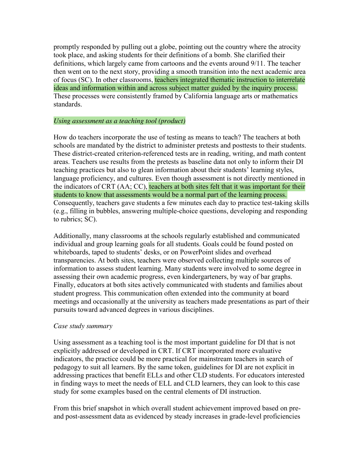promptly responded by pulling out a globe, pointing out the country where the atrocity took place, and asking students for their definitions of a bomb. She clarified their definitions, which largely came from cartoons and the events around 9/11. The teacher then went on to the next story, providing a smooth transition into the next academic area of focus (SC). In other classrooms, teachers integrated thematic instruction to interrelate ideas and information within and across subject matter guided by the inquiry process. These processes were consistently framed by California language arts or mathematics standards.

# *Using assessment as a teaching tool (product)*

How do teachers incorporate the use of testing as means to teach? The teachers at both schools are mandated by the district to administer pretests and posttests to their students. These district-created criterion-referenced tests are in reading, writing, and math content areas. Teachers use results from the pretests as baseline data not only to inform their DI teaching practices but also to glean information about their students' learning styles, language proficiency, and cultures. Even though assessment is not directly mentioned in the indicators of CRT (AA; CC), teachers at both sites felt that it was important for their students to know that assessments would be a normal part of the learning process. Consequently, teachers gave students a few minutes each day to practice test-taking skills (e.g., filling in bubbles, answering multiple-choice questions, developing and responding to rubrics; SC).

Additionally, many classrooms at the schools regularly established and communicated individual and group learning goals for all students. Goals could be found posted on whiteboards, taped to students' desks, or on PowerPoint slides and overhead transparencies. At both sites, teachers were observed collecting multiple sources of information to assess student learning. Many students were involved to some degree in assessing their own academic progress, even kindergarteners, by way of bar graphs. Finally, educators at both sites actively communicated with students and families about student progress. This communication often extended into the community at board meetings and occasionally at the university as teachers made presentations as part of their pursuits toward advanced degrees in various disciplines.

#### *Case study summary*

Using assessment as a teaching tool is the most important guideline for DI that is not explicitly addressed or developed in CRT. If CRT incorporated more evaluative indicators, the practice could be more practical for mainstream teachers in search of pedagogy to suit all learners. By the same token, guidelines for DI are not explicit in addressing practices that benefit ELLs and other CLD students. For educators interested in finding ways to meet the needs of ELL and CLD learners, they can look to this case study for some examples based on the central elements of DI instruction.

From this brief snapshot in which overall student achievement improved based on preand post-assessment data as evidenced by steady increases in grade-level proficiencies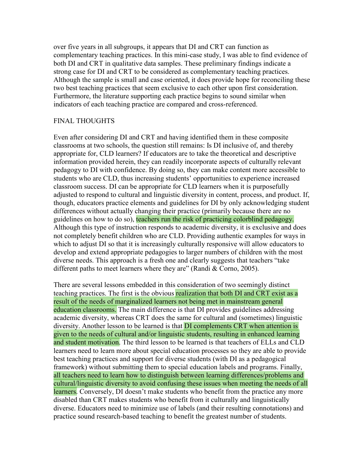over five years in all subgroups, it appears that DI and CRT can function as complementary teaching practices. In this mini-case study, I was able to find evidence of both DI and CRT in qualitative data samples. These preliminary findings indicate a strong case for DI and CRT to be considered as complementary teaching practices. Although the sample is small and case oriented, it does provide hope for reconciling these two best teaching practices that seem exclusive to each other upon first consideration. Furthermore, the literature supporting each practice begins to sound similar when indicators of each teaching practice are compared and cross-referenced.

# FINAL THOUGHTS

Even after considering DI and CRT and having identified them in these composite classrooms at two schools, the question still remains: Is DI inclusive of, and thereby appropriate for, CLD learners? If educators are to take the theoretical and descriptive information provided herein, they can readily incorporate aspects of culturally relevant pedagogy to DI with confidence. By doing so, they can make content more accessible to students who are CLD, thus increasing students' opportunities to experience increased classroom success. DI can be appropriate for CLD learners when it is purposefully adjusted to respond to cultural and linguistic diversity in content, process, and product. If, though, educators practice elements and guidelines for DI by only acknowledging student differences without actually changing their practice (primarily because there are no guidelines on how to do so), teachers run the risk of practicing colorblind pedagogy. Although this type of instruction responds to academic diversity, it is exclusive and does not completely benefit children who are CLD. Providing authentic examples for ways in which to adjust DI so that it is increasingly culturally responsive will allow educators to develop and extend appropriate pedagogies to larger numbers of children with the most diverse needs. This approach is a fresh one and clearly suggests that teachers "take" different paths to meet learners where they are" (Randi  $&$  Corno, 2005).

There are several lessons embedded in this consideration of two seemingly distinct teaching practices. The first is the obvious realization that both DI and CRT exist as a result of the needs of marginalized learners not being met in mainstream general education classrooms. The main difference is that DI provides guidelines addressing academic diversity, whereas CRT does the same for cultural and (sometimes) linguistic diversity. Another lesson to be learned is that DI complements CRT when attention is given to the needs of cultural and/or linguistic students, resulting in enhanced learning and student motivation. The third lesson to be learned is that teachers of ELLs and CLD learners need to learn more about special education processes so they are able to provide best teaching practices and support for diverse students (with DI as a pedagogical framework) without submitting them to special education labels and programs. Finally, all teachers need to learn how to distinguish between learning differences/problems and cultural/linguistic diversity to avoid confusing these issues when meeting the needs of all learners. Conversely, DI doesn't make students who benefit from the practice any more disabled than CRT makes students who benefit from it culturally and linguistically diverse. Educators need to minimize use of labels (and their resulting connotations) and practice sound research-based teaching to benefit the greatest number of students.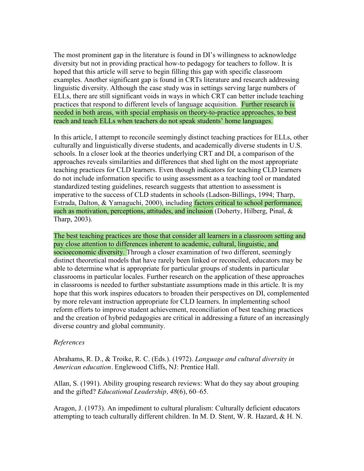The most prominent gap in the literature is found in DI's willingness to acknowledge diversity but not in providing practical how-to pedagogy for teachers to follow. It is hoped that this article will serve to begin filling this gap with specific classroom examples. Another significant gap is found in CRTs literature and research addressing linguistic diversity. Although the case study was in settings serving large numbers of ELLs, there are still significant voids in ways in which CRT can better include teaching practices that respond to different levels of language acquisition. Further research is needed in both areas, with special emphasis on theory-to-practice approaches, to best reach and teach ELLs when teachers do not speak students' home languages.

In this article, I attempt to reconcile seemingly distinct teaching practices for ELLs, other culturally and linguistically diverse students, and academically diverse students in U.S. schools. In a closer look at the theories underlying CRT and DI, a comparison of the approaches reveals similarities and differences that shed light on the most appropriate teaching practices for CLD learners. Even though indicators for teaching CLD learners do not include information specific to using assessment as a teaching tool or mandated standardized testing guidelines, research suggests that attention to assessment is imperative to the success of CLD students in schools (Ladson-Billings, 1994; Tharp, Estrada, Dalton, & Yamaguchi, 2000), including factors critical to school performance, such as motivation, perceptions, attitudes, and inclusion (Doherty, Hilberg, Pinal, & Tharp, 2003).

The best teaching practices are those that consider all learners in a classroom setting and pay close attention to differences inherent to academic, cultural, linguistic, and socioeconomic diversity. Through a closer examination of two different, seemingly distinct theoretical models that have rarely been linked or reconciled, educators may be able to determine what is appropriate for particular groups of students in particular classrooms in particular locales. Further research on the application of these approaches in classrooms is needed to further substantiate assumptions made in this article. It is my hope that this work inspires educators to broaden their perspectives on DI, complemented by more relevant instruction appropriate for CLD learners. In implementing school reform efforts to improve student achievement, reconciliation of best teaching practices and the creation of hybrid pedagogies are critical in addressing a future of an increasingly diverse country and global community.

# *References*

Abrahams, R. D., & Troike, R. C. (Eds.). (1972). *Language and cultural diversity in American education.* Englewood Cliffs, NJ: Prentice Hall.

Allan, S. (1991). Ability grouping research reviews: What do they say about grouping and the gifted? *Educational Leadership, 48*(6), 60–65.

Aragon, J. (1973). An impediment to cultural pluralism: Culturally deficient educators attempting to teach culturally different children. In M. D. Stent, W. R. Hazard, & H. N.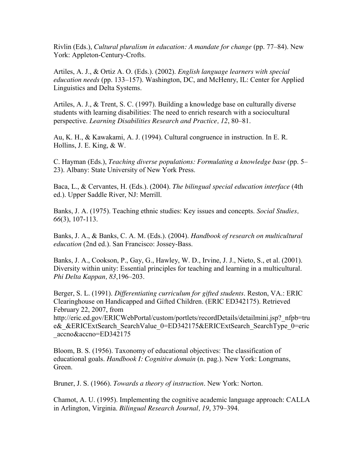Rivlin (Eds.), *Cultural pluralism in education: A mandate for change* (pp. 77–84). New York: Appleton-Century-Crofts.

Artiles, A. J., & Ortiz A. O. (Eds.). (2002). *English language learners with special education needs* (pp. 133–157). Washington, DC, and McHenry, IL: Center for Applied Linguistics and Delta Systems.

Artiles, A. J., & Trent, S. C. (1997). Building a knowledge base on culturally diverse students with learning disabilities: The need to enrich research with a sociocultural perspective. *Learning Disabilities Research and Practice, 12*, 80–81.

Au, K. H., & Kawakami, A. J. (1994). Cultural congruence in instruction. In E. R. Hollins, J. E. King, & W.

C. Hayman (Eds.), *Teaching diverse populations: Formulating a knowledge base* (pp. 5– 23). Albany: State University of New York Press.

Baca, L., & Cervantes, H. (Eds.). (2004). *The bilingual special education interface* (4th ed.). Upper Saddle River, NJ: Merrill.

Banks, J. A. (1975). Teaching ethnic studies: Key issues and concepts. *Social Studies, 66*(3), 107-113.

Banks, J. A., & Banks, C. A. M. (Eds.). (2004). *Handbook of research on multicultural education* (2nd ed.). San Francisco: Jossey-Bass.

Banks, J. A., Cookson, P., Gay, G., Hawley, W. D., Irvine, J. J., Nieto, S., et al. (2001). Diversity within unity: Essential principles for teaching and learning in a multicultural. *Phi Delta Kappan, 83*,196–203.

Berger, S. L. (1991). *Differentiating curriculum for gifted students*. Reston, VA.: ERIC Clearinghouse on Handicapped and Gifted Children. (ERIC ED342175). Retrieved February 22, 2007, from http://eric.ed.gov/ERICWebPortal/custom/portlets/recordDetails/detailmini.jsp? nfpb=tru

e& &ERICExtSearch\_SearchValue\_0=ED342175&ERICExtSearch\_SearchType\_0=eric \_accno&accno=ED342175

Bloom, B. S. (1956). Taxonomy of educational objectives: The classification of educational goals. *Handbook I: Cognitive domain* (n. pag.). New York: Longmans, Green.

Bruner, J. S. (1966). *Towards a theory of instruction*. New York: Norton.

Chamot, A. U. (1995). Implementing the cognitive academic language approach: CALLA in Arlington, Virginia. *Bilingual Research Journal, 19*, 379–394.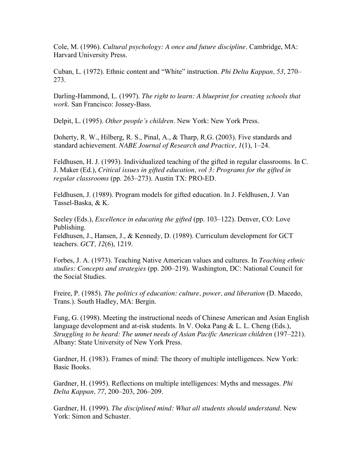Cole, M. (1996). *Cultural psychology: A once and future discipline*. Cambridge, MA: Harvard University Press.

Cuban, L. (1972). Ethnic content and "White" instruction. *Phi Delta Kappan, 53, 270*– 273.

Darling-Hammond, L. (1997). *The right to learn: A blueprint for creating schools that work*. San Francisco: Jossey-Bass.

Delpit, L. (1995). *Other people's children*. New York: New York Press.

Doherty, R. W., Hilberg, R. S., Pinal, A., & Tharp, R.G. (2003). Five standards and standard achievement. *NABE Journal of Research and Practice, 1*(1), 1–24.

Feldhusen, H. J. (1993). Individualized teaching of the gifted in regular classrooms. In C. J. Maker (Ed.), *Critical issues in gifted education, vol 3: Programs for the gifted in regular classrooms* (pp. 263–273). Austin TX: PRO-ED.

Feldhusen, J. (1989). Program models for gifted education. In J. Feldhusen, J. Van Tassel-Baska, & K.

Seeley (Eds.), *Excellence in educating the gifted* (pp. 103–122). Denver, CO: Love Publishing.

Feldhusen, J., Hansen, J., & Kennedy, D. (1989). Curriculum development for GCT teachers. *GCT, 12*(6), 1219.

Forbes, J. A. (1973). Teaching Native American values and cultures. In *Teaching ethnic studies: Concepts and strategies* (pp. 200–219). Washington, DC: National Council for the Social Studies.

Freire, P. (1985). *The politics of education: culture, power, and liberation* (D. Macedo, Trans.). South Hadley, MA: Bergin.

Fung, G. (1998). Meeting the instructional needs of Chinese American and Asian English language development and at-risk students. In V. Ooka Pang & L. L. Cheng (Eds.), *Struggling to be heard: The unmet needs of Asian Pacific American children* (197–221). Albany: State University of New York Press.

Gardner, H. (1983). Frames of mind: The theory of multiple intelligences. New York: Basic Books.

Gardner, H. (1995). Reflections on multiple intelligences: Myths and messages. *Phi Delta Kappan, 77*, 200–203, 206–209.

Gardner, H. (1999). *The disciplined mind: What all students should understand*. New York: Simon and Schuster.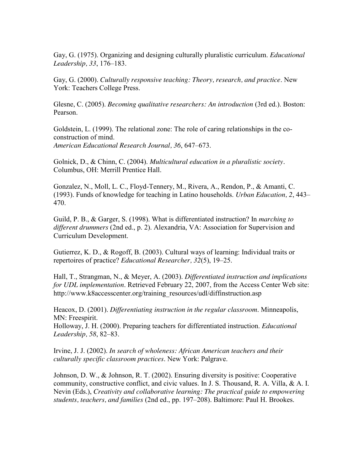Gay, G. (1975). Organizing and designing culturally pluralistic curriculum. *Educational Leadership, 33*, 176–183.

Gay, G. (2000). *Culturally responsive teaching: Theory, research, and practice*. New York: Teachers College Press.

Glesne, C. (2005). *Becoming qualitative researchers: An introduction* (3rd ed.). Boston: Pearson.

Goldstein, L. (1999). The relational zone: The role of caring relationships in the coconstruction of mind. *American Educational Research Journal, 36*, 647–673.

Golnick, D., & Chinn, C. (2004). *Multicultural education in a pluralistic society.*  Columbus, OH: Merrill Prentice Hall.

Gonzalez, N., Moll, L. C., Floyd-Tennery, M., Rivera, A., Rendon, P., & Amanti, C. (1993). Funds of knowledge for teaching in Latino households. *Urban Education, 2*, 443– 470.

Guild, P. B., & Garger, S. (1998). What is differentiated instruction? In *marching to different drummers* (2nd ed., p. 2). Alexandria, VA: Association for Supervision and Curriculum Development.

Gutierrez, K. D., & Rogoff, B. (2003). Cultural ways of learning: Individual traits or repertoires of practice? *Educational Researcher, 32*(5), 19–25.

Hall, T., Strangman, N., & Meyer, A. (2003). *Differentiated instruction and implications for UDL implementation*. Retrieved February 22, 2007, from the Access Center Web site: http://www.k8accesscenter.org/training\_resources/udl/diffinstruction.asp

Heacox, D. (2001). *Differentiating instruction in the regular classroom*. Minneapolis, MN: Freespirit.

Holloway, J. H. (2000). Preparing teachers for differentiated instruction. *Educational Leadership, 58*, 82–83.

Irvine, J. J. (2002). *In search of wholeness: African American teachers and their culturally specific classroom practices*. New York: Palgrave.

Johnson, D. W., & Johnson, R. T. (2002). Ensuring diversity is positive: Cooperative community, constructive conflict, and civic values. In J. S. Thousand, R. A. Villa, & A. I. Nevin (Eds.), *Creativity and collaborative learning: The practical guide to empowering students, teachers, and families* (2nd ed., pp. 197–208). Baltimore: Paul H. Brookes.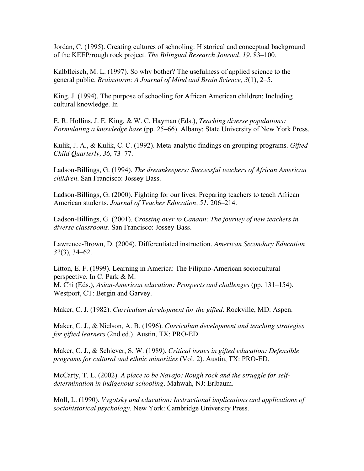Jordan, C. (1995). Creating cultures of schooling: Historical and conceptual background of the KEEP/rough rock project. *The Bilingual Research Journal, 19*, 83–100.

Kalbfleisch, M. L. (1997). So why bother? The usefulness of applied science to the general public. *Brainstorm: A Journal of Mind and Brain Science, 3*(1), 2–5.

King, J. (1994). The purpose of schooling for African American children: Including cultural knowledge. In

E. R. Hollins, J. E. King, & W. C. Hayman (Eds.), *Teaching diverse populations: Formulating a knowledge base* (pp. 25–66). Albany: State University of New York Press.

Kulik, J. A., & Kulik, C. C. (1992). Meta-analytic findings on grouping programs. *Gifted Child Quarterly, 36*, 73–77.

Ladson-Billings, G. (1994). *The dreamkeepers: Successful teachers of African American children*. San Francisco: Jossey-Bass.

Ladson-Billings, G. (2000). Fighting for our lives: Preparing teachers to teach African American students. *Journal of Teacher Education, 51*, 206–214.

Ladson-Billings, G. (2001). *Crossing over to Canaan: The journey of new teachers in diverse classrooms*. San Francisco: Jossey-Bass.

Lawrence-Brown, D. (2004). Differentiated instruction. *American Secondary Education 32*(3), 34–62.

Litton, E. F. (1999). Learning in America: The Filipino-American sociocultural perspective. In C. Park & M. M. Chi (Eds.), *Asian-American education: Prospects and challenges* (pp. 131–154). Westport, CT: Bergin and Garvey.

Maker, C. J. (1982). *Curriculum development for the gifted*. Rockville, MD: Aspen.

Maker, C. J., & Nielson, A. B. (1996). *Curriculum development and teaching strategies for gifted learners* (2nd ed.). Austin, TX: PRO-ED.

Maker, C. J., & Schiever, S. W. (1989). *Critical issues in gifted education: Defensible programs for cultural and ethnic minorities* (Vol. 2). Austin, TX: PRO-ED.

McCarty, T. L. (2002). *A place to be Navajo: Rough rock and the struggle for selfdetermination in indigenous schooling*. Mahwah, NJ: Erlbaum.

Moll, L. (1990). *Vygotsky and education: Instructional implications and applications of sociohistorical psychology*. New York: Cambridge University Press.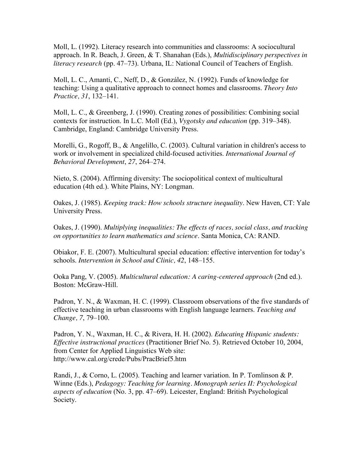Moll, L. (1992). Literacy research into communities and classrooms: A sociocultural approach. In R. Beach, J. Green, & T. Shanahan (Eds.), *Multidisciplinary perspectives in literacy research* (pp. 47–73). Urbana, IL: National Council of Teachers of English.

Moll, L. C., Amanti, C., Neff, D., & González, N. (1992). Funds of knowledge for teaching: Using a qualitative approach to connect homes and classrooms. *Theory Into Practice, 31*, 132–141.

Moll, L. C., & Greenberg, J. (1990). Creating zones of possibilities: Combining social contexts for instruction. In L.C. Moll (Ed.), *Vygotsky and education* (pp. 319–348). Cambridge, England: Cambridge University Press.

Morelli, G., Rogoff, B., & Angelillo, C. (2003). Cultural variation in children's access to work or involvement in specialized child-focused activities. *International Journal of Behavioral Development*, *27*, 264–274.

Nieto, S. (2004). Affirming diversity: The sociopolitical context of multicultural education (4th ed.). White Plains, NY: Longman.

Oakes, J. (1985). *Keeping track: How schools structure inequality*. New Haven, CT: Yale University Press.

Oakes, J. (1990). *Multiplying inequalities: The effects of races, social class, and tracking on opportunities to learn mathematics and science*. Santa Monica, CA: RAND.

Obiakor, F. E. (2007). Multicultural special education: effective intervention for today's schools. *Intervention in School and Clinic, 42*, 148–155.

Ooka Pang, V. (2005). *Multicultural education: A caring-centered approach* (2nd ed.). Boston: McGraw-Hill.

Padron, Y. N., & Waxman, H. C. (1999). Classroom observations of the five standards of effective teaching in urban classrooms with English language learners. *Teaching and Change, 7*, 79–100.

Padron, Y. N., Waxman, H. C., & Rivera, H. H. (2002). *Educating Hispanic students: Effective instructional practices* (Practitioner Brief No. 5). Retrieved October 10, 2004, from Center for Applied Linguistics Web site: http://www.cal.org/crede/Pubs/PracBrief5.htm

Randi, J., & Corno, L. (2005). Teaching and learner variation. In P. Tomlinson & P. Winne (Eds.), *Pedagogy: Teaching for learning. Monograph series II: Psychological aspects of education* (No. 3, pp. 47–69). Leicester, England: British Psychological Society.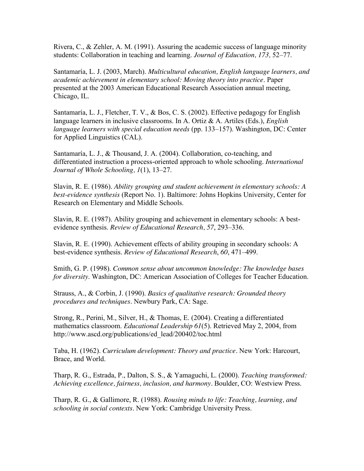Rivera, C., & Zehler, A. M. (1991). Assuring the academic success of language minority students: Collaboration in teaching and learning. *Journal of Education, 173,* 52–77.

Santamaría, L. J. (2003, March). *Multicultural education, English language learners, and academic achievement in elementary school: Moving theory into practice*. Paper presented at the 2003 American Educational Research Association annual meeting, Chicago, IL.

Santamaría, L. J., Fletcher, T. V., & Bos, C. S. (2002). Effective pedagogy for English language learners in inclusive classrooms. In A. Ortiz & A. Artiles (Eds.), *English language learners with special education needs* (pp. 133–157). Washington, DC: Center for Applied Linguistics (CAL).

Santamaría, L. J., & Thousand, J. A. (2004). Collaboration, co-teaching, and differentiated instruction a process-oriented approach to whole schooling. *International Journal of Whole Schooling, 1*(1), 13–27.

Slavin, R. E. (1986). *Ability grouping and student achievement in elementary schools: A best-evidence synthesis* (Report No. 1). Baltimore: Johns Hopkins University, Center for Research on Elementary and Middle Schools.

Slavin, R. E. (1987). Ability grouping and achievement in elementary schools: A bestevidence synthesis. *Review of Educational Research, 57*, 293–336.

Slavin, R. E. (1990). Achievement effects of ability grouping in secondary schools: A best-evidence synthesis. *Review of Educational Research*, *60*, 471–499.

Smith, G. P. (1998). *Common sense about uncommon knowledge: The knowledge bases for diversity*. Washington, DC: American Association of Colleges for Teacher Education.

Strauss, A., & Corbin, J. (1990). *Basics of qualitative research: Grounded theory procedures and techniques*. Newbury Park, CA: Sage.

Strong, R., Perini, M., Silver, H., & Thomas, E. (2004). Creating a differentiated mathematics classroom. *Educational Leadership 61*(5). Retrieved May 2, 2004, from http://www.ascd.org/publications/ed\_lead/200402/toc.html

Taba, H. (1962). *Curriculum development: Theory and practice.* New York: Harcourt, Brace, and World.

Tharp, R. G., Estrada, P., Dalton, S. S., & Yamaguchi, L. (2000). *Teaching transformed: Achieving excellence, fairness, inclusion, and harmony.* Boulder, CO: Westview Press.

Tharp, R. G., & Gallimore, R. (1988). *Rousing minds to life: Teaching, learning, and schooling in social contexts*. New York: Cambridge University Press.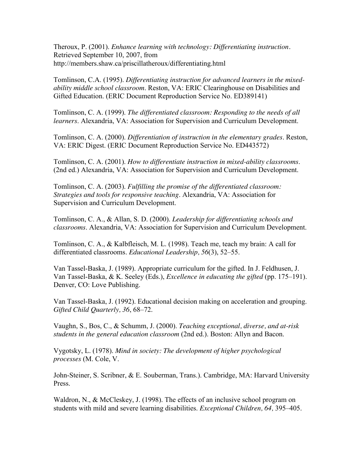Theroux, P. (2001). *Enhance learning with technology: Differentiating instruction.* Retrieved September 10, 2007, from http://members.shaw.ca/priscillatheroux/differentiating.html

Tomlinson, C.A. (1995). *Differentiating instruction for advanced learners in the mixedability middle school classroom*. Reston, VA: ERIC Clearinghouse on Disabilities and Gifted Education. (ERIC Document Reproduction Service No. ED389141)

Tomlinson, C. A. (1999). *The differentiated classroom: Responding to the needs of all learners*. Alexandria, VA: Association for Supervision and Curriculum Development.

Tomlinson, C. A. (2000). *Differentiation of instruction in the elementary grades*. Reston, VA: ERIC Digest. (ERIC Document Reproduction Service No. ED443572)

Tomlinson, C. A. (2001). *How to differentiate instruction in mixed-ability classrooms*. (2nd ed.) Alexandria, VA: Association for Supervision and Curriculum Development.

Tomlinson, C. A. (2003). *Fulfilling the promise of the differentiated classroom: Strategies and tools for responsive teaching*. Alexandria, VA: Association for Supervision and Curriculum Development.

Tomlinson, C. A., & Allan, S. D. (2000). *Leadership for differentiating schools and classrooms*. Alexandria, VA: Association for Supervision and Curriculum Development.

Tomlinson, C. A., & Kalbfleisch, M. L. (1998). Teach me, teach my brain: A call for differentiated classrooms. *Educational Leadership, 56*(3), 52–55.

Van Tassel-Baska, J. (1989). Appropriate curriculum for the gifted. In J. Feldhusen, J. Van Tassel-Baska, & K. Seeley (Eds.), *Excellence in educating the gifted* (pp. 175–191). Denver, CO: Love Publishing.

Van Tassel-Baska, J. (1992). Educational decision making on acceleration and grouping. *Gifted Child Quarterly, 36*, 68–72.

Vaughn, S., Bos, C., & Schumm, J. (2000). *Teaching exceptional, diverse, and at-risk students in the general education classroom* (2nd ed.). Boston: Allyn and Bacon.

Vygotsky, L. (1978). *Mind in society: The development of higher psychological processes* (M. Cole, V.

John-Steiner, S. Scribner, & E. Souberman, Trans.). Cambridge, MA: Harvard University Press.

Waldron, N., & McCleskey, J. (1998). The effects of an inclusive school program on students with mild and severe learning disabilities. *Exceptional Children, 64,* 395–405.